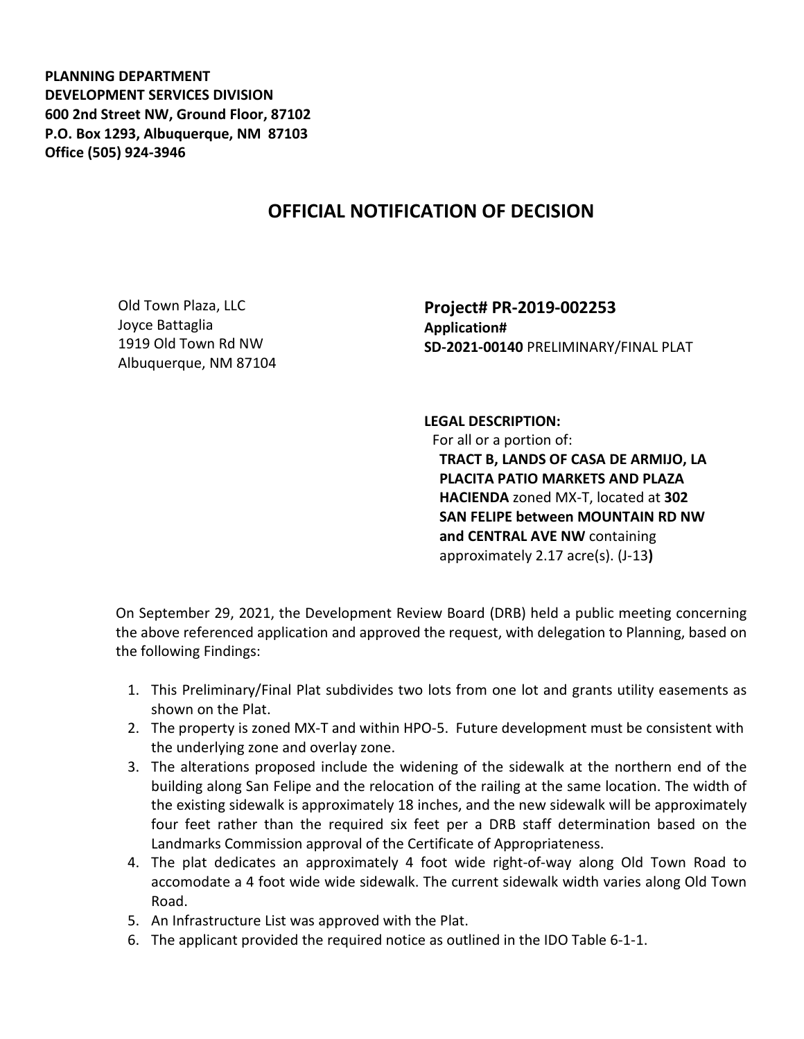**PLANNING DEPARTMENT DEVELOPMENT SERVICES DIVISION 600 2nd Street NW, Ground Floor, 87102 P.O. Box 1293, Albuquerque, NM 87103 Office (505) 924-3946** 

## **OFFICIAL NOTIFICATION OF DECISION**

Old Town Plaza, LLC Joyce Battaglia 1919 Old Town Rd NW Albuquerque, NM 87104 **Project# PR-2019-002253 Application# SD-2021-00140** PRELIMINARY/FINAL PLAT

**LEGAL DESCRIPTION:** For all or a portion of: **TRACT B, LANDS OF CASA DE ARMIJO, LA PLACITA PATIO MARKETS AND PLAZA HACIENDA** zoned MX-T, located at **302 SAN FELIPE between MOUNTAIN RD NW and CENTRAL AVE NW** containing approximately 2.17 acre(s). (J-13**)** 

On September 29, 2021, the Development Review Board (DRB) held a public meeting concerning the above referenced application and approved the request, with delegation to Planning, based on the following Findings:

- 1. This Preliminary/Final Plat subdivides two lots from one lot and grants utility easements as shown on the Plat.
- 2. The property is zoned MX-T and within HPO-5. Future development must be consistent with the underlying zone and overlay zone.
- 3. The alterations proposed include the widening of the sidewalk at the northern end of the building along San Felipe and the relocation of the railing at the same location. The width of the existing sidewalk is approximately 18 inches, and the new sidewalk will be approximately four feet rather than the required six feet per a DRB staff determination based on the Landmarks Commission approval of the Certificate of Appropriateness.
- 4. The plat dedicates an approximately 4 foot wide right-of-way along Old Town Road to accomodate a 4 foot wide wide sidewalk. The current sidewalk width varies along Old Town Road.
- 5. An Infrastructure List was approved with the Plat.
- 6. The applicant provided the required notice as outlined in the IDO Table 6-1-1.